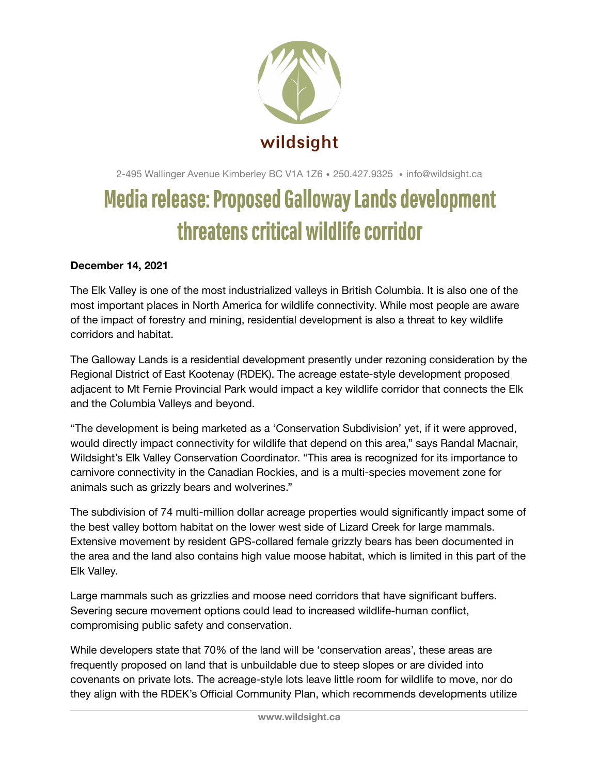

2-495 Wallinger Avenue Kimberley BC V1A 1Z6 • 250.427.9325 • info@wildsight.ca

## Media release: Proposed Galloway Lands development threatens critical wildlife corridor

## **December 14, 2021**

The Elk Valley is one of the most industrialized valleys in British Columbia. It is also one of the most important places in North America for wildlife connectivity. While most people are aware of the impact of forestry and mining, residential development is also a threat to key wildlife corridors and habitat.

The Galloway Lands is a residential development presently under rezoning consideration by the Regional District of East Kootenay (RDEK). The acreage estate-style development proposed adjacent to Mt Fernie Provincial Park would impact a key wildlife corridor that connects the Elk and the Columbia Valleys and beyond.

"The development is being marketed as a 'Conservation Subdivision' yet, if it were approved, would directly impact connectivity for wildlife that depend on this area," says Randal Macnair, Wildsight's Elk Valley Conservation Coordinator. "This area is recognized for its importance to carnivore connectivity in the Canadian Rockies, and is a multi-species movement zone for animals such as grizzly bears and wolverines."

The subdivision of 74 multi-million dollar acreage properties would significantly impact some of the best valley bottom habitat on the lower west side of Lizard Creek for large mammals. Extensive movement by resident GPS-collared female grizzly bears has been documented in the area and the land also contains high value moose habitat, which is limited in this part of the Elk Valley.

Large mammals such as grizzlies and moose need corridors that have significant buffers. Severing secure movement options could lead to increased wildlife-human conflict, compromising public safety and conservation.

While developers state that 70% of the land will be 'conservation areas', these areas are frequently proposed on land that is unbuildable due to steep slopes or are divided into covenants on private lots. The acreage-style lots leave little room for wildlife to move, nor do they align with the RDEK's Official Community Plan, which recommends developments utilize